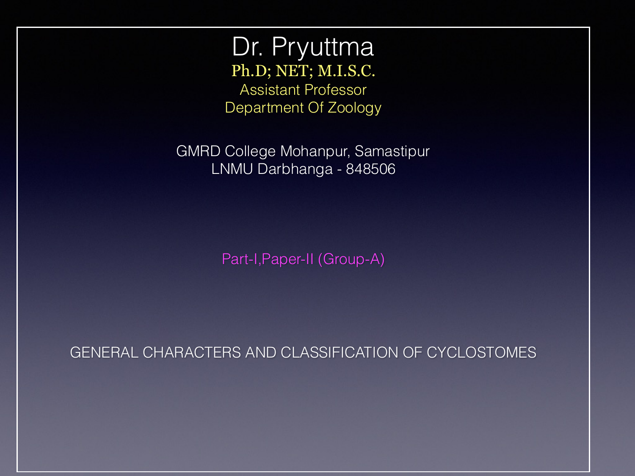Dr. Pryuttma Ph.D; NET; M.I.S.C. Assistant Professor Department Of Zoology

GMRD College Mohanpur, Samastipur LNMU Darbhanga - 848506

Part-I,Paper-II (Group-A)

GENERAL CHARACTERS AND CLASSIFICATION OF CYCLOSTOMES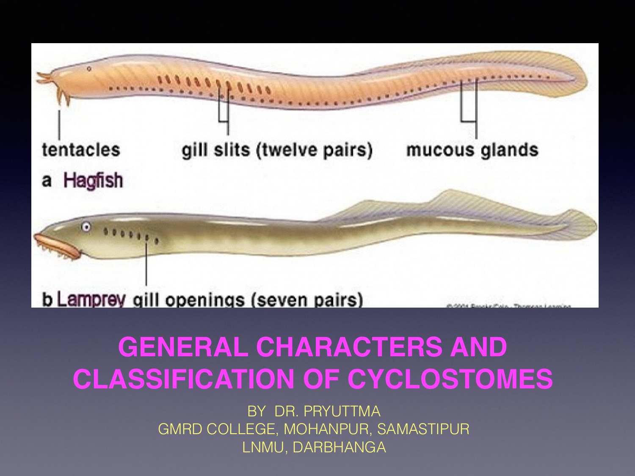

#### **GENERAL CHARACTERS AND CLASSIFICATION OF CYCLOSTOMES**

BY DR. PRYUTTMA GMRD COLLEGE, MOHANPUR, SAMASTIPUR LNMU, DARBHANGA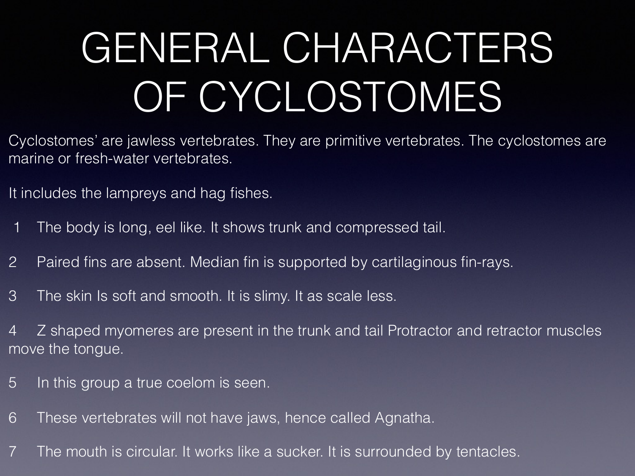# GENERAL CHARACTERS OF CYCLOSTOMES

Cyclostomes' are jawless vertebrates. They are primitive vertebrates. The cyclostomes are marine or fresh-water vertebrates.

It includes the lampreys and hag fishes.

- 1 The body is long, eel like. It shows trunk and compressed tail.
- 2 Paired fins are absent. Median fin is supported by cartilaginous fin-rays.
- 3 The skin Is soft and smooth. It is slimy. It as scale less.

4 Z shaped myomeres are present in the trunk and tail Protractor and retractor muscles move the tongue.

- 5 In this group a true coelom is seen.
- 6 These vertebrates will not have jaws, hence called Agnatha.
- 7 The mouth is circular. It works like a sucker. It is surrounded by tentacles.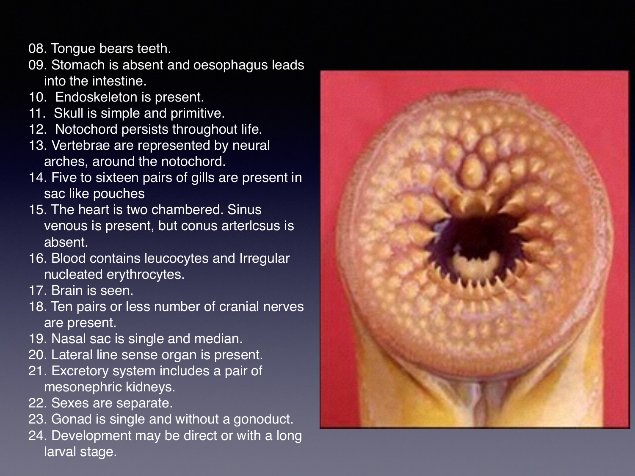- 08. Tongue bears teeth.
- 09. Stomach is absent and oesophagus leads into the intestine.
- 10. Endoskeleton is present.
- 11. Skull is simple and primitive.
- 12. Notochord persists throughout life.
- 13. Vertebrae are represented by neural arches, around the notochord.
- 14. Five to sixteen pairs of gills are present in sac like pouches
- 15. The heart is two chambered. Sinus venous is present, but conus arterlcsus is absent.
- 16. Blood contains leucocytes and Irregular nucleated erythrocytes.
- 17. Brain is seen.
- 18. Ten pairs or less number of cranial nerves are present.
- 19. Nasal sac is single and median.
- 20. Lateral line sense [organ](https://www.bioscience.com.pk/glossary/organ) is present.
- 21. Excretory system includes a pair of mesonephric kidneys.
- 22. Sexes are separate.
- 23. Gonad is single and without a gonoduct.
- 24. Development may be direct or with a long [larval stage](https://www.bioscience.com.pk/topics/zoology/item/651-larvaes-of-animals).

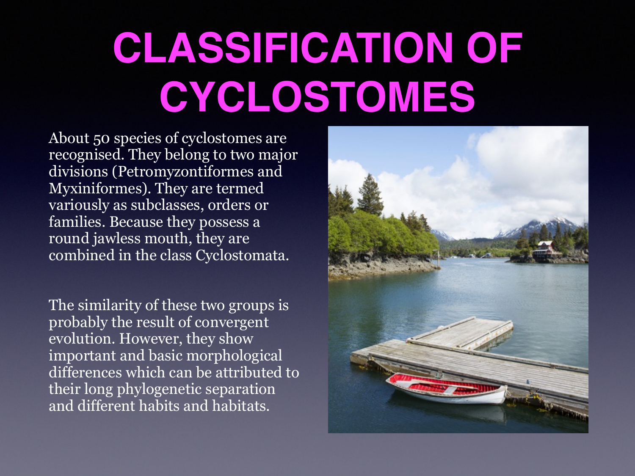## **CLASSIFICATION OF CYCLOSTOMES**

About 50 species of cyclostomes are recognised. They belong to two major divisions (Petromyzontiformes and Myxiniformes). They are termed variously as subclasses, orders or families. Because they possess a round jawless mouth, they are combined in the class Cyclostomata.

The similarity of these two groups is probably the result of convergent evolution. However, they show important and basic morphological differences which can be attributed to their long phylogenetic separation and different habits and habitats.

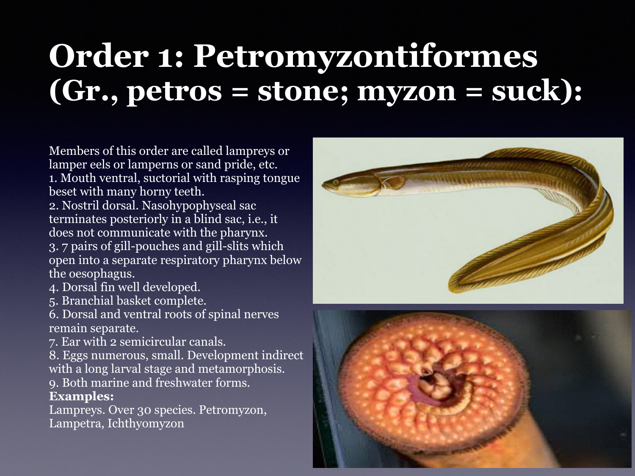## **Order 1: Petromyzontiformes (Gr., petros = stone; myzon = suck):**

Members of this order are called lampreys or lamper eels or lamperns or sand pride, etc. 1. Mouth ventral, suctorial with rasping tongue beset with many horny teeth.

2. Nostril dorsal. Nasohypophyseal sac terminates posteriorly in a blind sac, i.e., it does not communicate with the pharynx. 3. 7 pairs of gill-pouches and gill-slits which open into a separate respiratory pharynx below the oesophagus.

4. Dorsal fin well developed.

5. Branchial basket complete.

6. Dorsal and ventral roots of spinal nerves remain separate.

7. Ear with 2 semicircular canals.

8. Eggs numerous, small. Development indirect with a long larval stage and metamorphosis.

9. Both marine and freshwater forms. **Examples:**

Lampreys. Over 30 species. Petromyzon, Lampetra, Ichthyomyzon